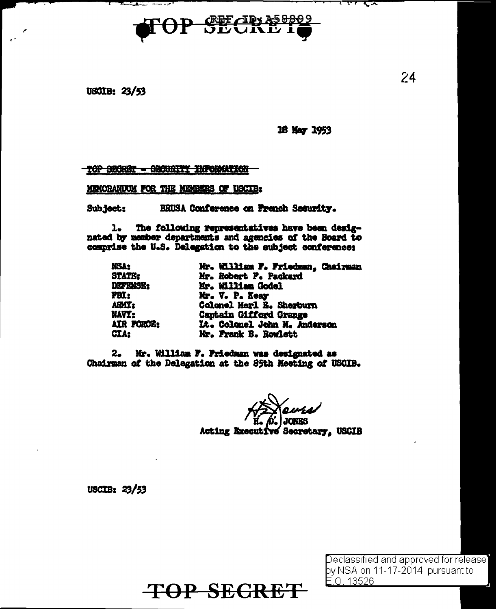

**USCIB: 23/53** 

*<u>Alexander State Company</u>* 

16 May 1953

ᅎ एर ररु

## TOP SECRET - SECURITY INFORMATION

MEMORANDUM FOR THE MEMBERS OF USCIB:

BRUSA Conference on French Security. Subject:

 $1.$ The following representatives have been designated by member departments and agencies of the Board to comprise the U.S. Delegation to the subject conference:

| NSA:            | Mr. William F. Friedman, Chairman |
|-----------------|-----------------------------------|
| <b>STATE:</b>   | Mr. Robert F. Packard             |
| <b>DEFENSE:</b> | Mr. William Godel                 |
| <b>FBI:</b>     | Mr. V. P. Keay                    |
| ARMI:           | Colonel Merl E. Sherburn          |
| NAVI:           | Captain Gifford Grange            |
| AIR FORCE:      | Lt. Colonel John M. Anderson      |
| CIA:            | Mr. Frank B. Rowlett              |

2. Mr. William F. Friedman was designated as Chairman of the Delegation at the 85th Meeting of USCIB.

> **JONKS** Acting Executive Secretary, USCIB

USCIB: 23/53

**TOP SECRET** 

Declassified and approved for release by NSA on 11-17-2014 pursuant to  $E.0.13526$